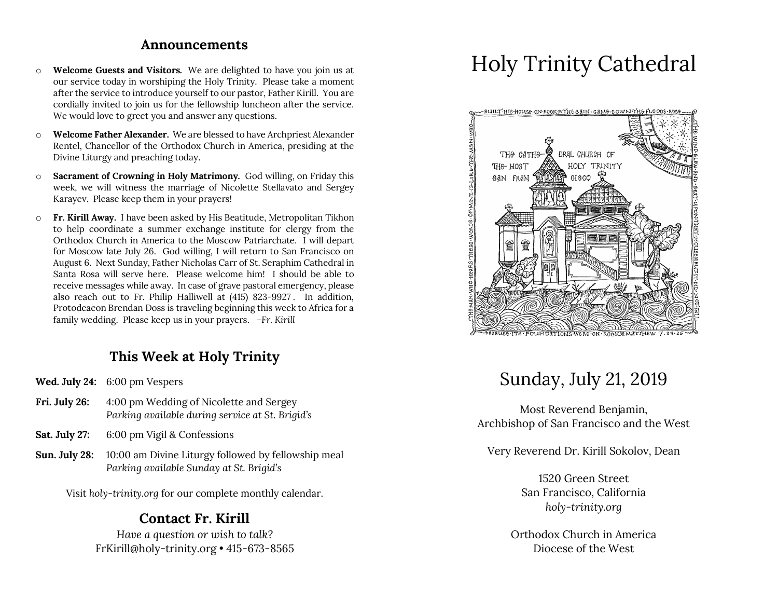#### **Announcements**

- o **Welcome Guests and Visitors.** We are delighted to have you join us at our service today in worshiping the Holy Trinity. Please take a moment after the service to introduce yourself to our pastor, Father Kirill. You are cordially invited to join us for the fellowship luncheon after the service. We would love to greet you and answer any questions.
- o **Welcome Father Alexander.** We are blessed to have Archpriest Alexander Rentel, Chancellor of the Orthodox Church in America, presiding at the Divine Liturgy and preaching today.
- o **Sacrament of Crowning in Holy Matrimony.** God willing, on Friday this week, we will witness the marriage of Nicolette Stellavato and Sergey Karayev. Please keep them in your prayers!
- o **Fr. Kirill Away.** I have been asked by His Beatitude, Metropolitan Tikhon to help coordinate a summer exchange institute for clergy from the Orthodox Church in America to the Moscow Patriarchate. I will depart for Moscow late July 26. God willing, I will return to San Francisco on August 6. Next Sunday, Father Nicholas Carr of St. Seraphim Cathedral in Santa Rosa will serve here. Please welcome him! I should be able to receive messages while away. In case of grave pastoral emergency, please also reach out to Fr. Philip Halliwell at (415) 823-9927 . In addition, Protodeacon Brendan Doss is traveling beginning this week to Africa for a family wedding. Please keep us in your prayers. *–Fr. Kirill*

## **This Week at Holy Trinity**

- **Wed. July 24:** 6:00 pm Vespers
- **Fri. July 26:** 4:00 pm Wedding of Nicolette and Sergey *Parking available during service at St. Brigid's*
- **Sat. July 27:** 6:00 pm Vigil & Confessions
- **Sun. July 28:** 10:00 am Divine Liturgy followed by fellowship meal *Parking available Sunday at St. Brigid's*

Visit *holy-trinity.org* for our complete monthly calendar.

#### **Contact Fr. Kirill**

*Have a question or wish to talk?* FrKirill@holy-trinity.org • 415-673-8565

# Holy Trinity Cathedral



# Sunday, July 21, 2019

Most Reverend Benjamin, Archbishop of San Francisco and the West

Very Reverend Dr. Kirill Sokolov, Dean

1520 Green Street San Francisco, California *holy-trinity.org*

Orthodox Church in America Diocese of the West